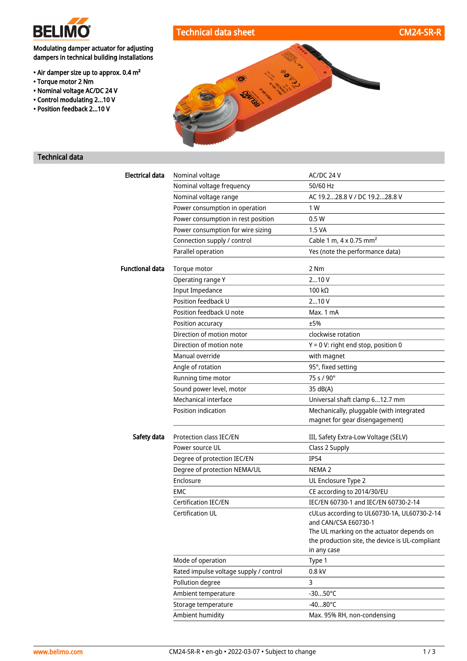

# Technical data sheet CM24-SR-R

## Modulating damper actuator for adjusting dampers in technical building installations

- Air damper size up to approx. 0.4 m²
- Torque motor 2 Nm
- Nominal voltage AC/DC 24 V
- Control modulating 2...10 V
- Position feedback 2...10 V



#### Technical data

| <b>Electrical data</b> | Nominal voltage                        | AC/DC 24 V                                                                                   |
|------------------------|----------------------------------------|----------------------------------------------------------------------------------------------|
|                        | Nominal voltage frequency              | 50/60 Hz                                                                                     |
|                        | Nominal voltage range                  | AC 19.228.8 V / DC 19.228.8 V                                                                |
|                        | Power consumption in operation         | 1 W                                                                                          |
|                        | Power consumption in rest position     | 0.5W                                                                                         |
|                        | Power consumption for wire sizing      | 1.5 VA                                                                                       |
|                        | Connection supply / control            | Cable 1 m, $4 \times 0.75$ mm <sup>2</sup>                                                   |
|                        | Parallel operation                     | Yes (note the performance data)                                                              |
| <b>Functional data</b> | Torque motor                           | 2 Nm                                                                                         |
|                        | Operating range Y                      | 210V                                                                                         |
|                        | <b>Input Impedance</b>                 | 100 $k\Omega$                                                                                |
|                        | Position feedback U                    | 210V                                                                                         |
|                        | Position feedback U note               | Max. 1 mA                                                                                    |
|                        | Position accuracy                      | ±5%                                                                                          |
|                        | Direction of motion motor              | clockwise rotation                                                                           |
|                        | Direction of motion note               | $Y = 0 V$ : right end stop, position 0                                                       |
|                        | Manual override                        | with magnet                                                                                  |
|                        | Angle of rotation                      | 95°, fixed setting                                                                           |
|                        | Running time motor                     | 75 s / 90°                                                                                   |
|                        | Sound power level, motor               | 35 dB(A)                                                                                     |
|                        | Mechanical interface                   | Universal shaft clamp 612.7 mm                                                               |
|                        | Position indication                    | Mechanically, pluggable (with integrated<br>magnet for gear disengagement)                   |
| Safety data            | Protection class IEC/EN                | III, Safety Extra-Low Voltage (SELV)                                                         |
|                        | Power source UL                        | Class 2 Supply                                                                               |
|                        | Degree of protection IEC/EN            | <b>IP54</b>                                                                                  |
|                        | Degree of protection NEMA/UL           | NEMA <sub>2</sub>                                                                            |
|                        | Enclosure                              | UL Enclosure Type 2                                                                          |
|                        | <b>EMC</b>                             | CE according to 2014/30/EU                                                                   |
|                        | Certification IEC/EN                   | IEC/EN 60730-1 and IEC/EN 60730-2-14                                                         |
|                        | Certification UL                       | cULus according to UL60730-1A, UL60730-2-14                                                  |
|                        |                                        | and CAN/CSA E60730-1                                                                         |
|                        |                                        | The UL marking on the actuator depends on<br>the production site, the device is UL-compliant |
|                        |                                        | in any case                                                                                  |
|                        | Mode of operation                      | Type 1                                                                                       |
|                        | Rated impulse voltage supply / control | 0.8 kV                                                                                       |
|                        | Pollution degree                       | 3                                                                                            |
|                        | Ambient temperature                    | $-3050^{\circ}$ C                                                                            |
|                        | Storage temperature                    | $-4080^{\circ}$ C                                                                            |
|                        | Ambient humidity                       | Max. 95% RH, non-condensing                                                                  |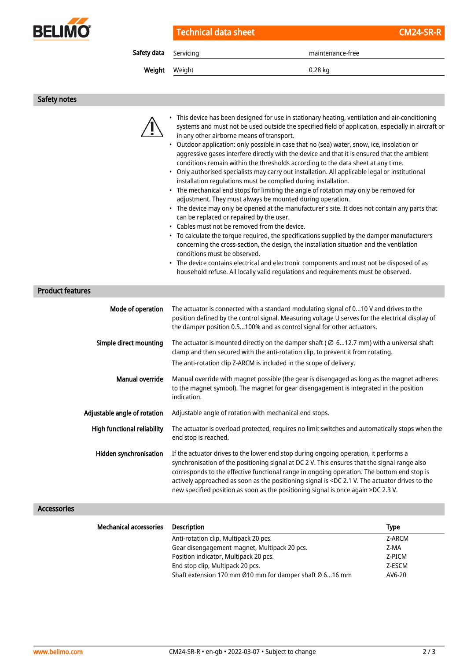

Technical data sheet CM24-SR-R

Safety data Servicing maintenance-free

Weight Weight **1.28 kg** 

Safety notes

|                              | • This device has been designed for use in stationary heating, ventilation and air-conditioning<br>systems and must not be used outside the specified field of application, especially in aircraft or<br>in any other airborne means of transport.<br>• Outdoor application: only possible in case that no (sea) water, snow, ice, insolation or<br>aggressive gases interfere directly with the device and that it is ensured that the ambient<br>conditions remain within the thresholds according to the data sheet at any time.<br>• Only authorised specialists may carry out installation. All applicable legal or institutional<br>installation regulations must be complied during installation.<br>• The mechanical end stops for limiting the angle of rotation may only be removed for<br>adjustment. They must always be mounted during operation.<br>• The device may only be opened at the manufacturer's site. It does not contain any parts that<br>can be replaced or repaired by the user.<br>• Cables must not be removed from the device.<br>• To calculate the torque required, the specifications supplied by the damper manufacturers<br>concerning the cross-section, the design, the installation situation and the ventilation<br>conditions must be observed.<br>• The device contains electrical and electronic components and must not be disposed of as<br>household refuse. All locally valid regulations and requirements must be observed. |
|------------------------------|-----------------------------------------------------------------------------------------------------------------------------------------------------------------------------------------------------------------------------------------------------------------------------------------------------------------------------------------------------------------------------------------------------------------------------------------------------------------------------------------------------------------------------------------------------------------------------------------------------------------------------------------------------------------------------------------------------------------------------------------------------------------------------------------------------------------------------------------------------------------------------------------------------------------------------------------------------------------------------------------------------------------------------------------------------------------------------------------------------------------------------------------------------------------------------------------------------------------------------------------------------------------------------------------------------------------------------------------------------------------------------------------------------------------------------------------------------------------------------|
| <b>Product features</b>      |                                                                                                                                                                                                                                                                                                                                                                                                                                                                                                                                                                                                                                                                                                                                                                                                                                                                                                                                                                                                                                                                                                                                                                                                                                                                                                                                                                                                                                                                             |
| Mode of operation            | The actuator is connected with a standard modulating signal of 010 V and drives to the<br>position defined by the control signal. Measuring voltage U serves for the electrical display of<br>the damper position 0.5100% and as control signal for other actuators.                                                                                                                                                                                                                                                                                                                                                                                                                                                                                                                                                                                                                                                                                                                                                                                                                                                                                                                                                                                                                                                                                                                                                                                                        |
| Simple direct mounting       | The actuator is mounted directly on the damper shaft ( $\varnothing$ 612.7 mm) with a universal shaft<br>clamp and then secured with the anti-rotation clip, to prevent it from rotating.<br>The anti-rotation clip Z-ARCM is included in the scope of delivery.                                                                                                                                                                                                                                                                                                                                                                                                                                                                                                                                                                                                                                                                                                                                                                                                                                                                                                                                                                                                                                                                                                                                                                                                            |
| <b>Manual override</b>       | Manual override with magnet possible (the gear is disengaged as long as the magnet adheres<br>to the magnet symbol). The magnet for gear disengagement is integrated in the position<br>indication.                                                                                                                                                                                                                                                                                                                                                                                                                                                                                                                                                                                                                                                                                                                                                                                                                                                                                                                                                                                                                                                                                                                                                                                                                                                                         |
| Adjustable angle of rotation | Adjustable angle of rotation with mechanical end stops.                                                                                                                                                                                                                                                                                                                                                                                                                                                                                                                                                                                                                                                                                                                                                                                                                                                                                                                                                                                                                                                                                                                                                                                                                                                                                                                                                                                                                     |
| High functional reliability  | The actuator is overload protected, requires no limit switches and automatically stops when the<br>end stop is reached.                                                                                                                                                                                                                                                                                                                                                                                                                                                                                                                                                                                                                                                                                                                                                                                                                                                                                                                                                                                                                                                                                                                                                                                                                                                                                                                                                     |
| Hidden synchronisation       | If the actuator drives to the lower end stop during ongoing operation, it performs a<br>synchronisation of the positioning signal at DC 2 V. This ensures that the signal range also<br>corresponds to the effective functional range in ongoing operation. The bottom end stop is<br>actively approached as soon as the positioning signal is <dc 2.1="" actuator="" drives="" the="" the<br="" to="" v.="">new specified position as soon as the positioning signal is once again &gt;DC 2.3 V.</dc>                                                                                                                                                                                                                                                                                                                                                                                                                                                                                                                                                                                                                                                                                                                                                                                                                                                                                                                                                                      |

### Accessories

| <b>Mechanical accessories</b> | <b>Description</b>                                      | <b>Type</b> |
|-------------------------------|---------------------------------------------------------|-------------|
|                               | Anti-rotation clip, Multipack 20 pcs.                   | Z-ARCM      |
|                               | Gear disengagement magnet, Multipack 20 pcs.            | Z-MA        |
|                               | Position indicator, Multipack 20 pcs.                   | Z-PICM      |
|                               | End stop clip, Multipack 20 pcs.                        | Z-ESCM      |
|                               | Shaft extension 170 mm Ø10 mm for damper shaft Ø 616 mm | AV6-20      |